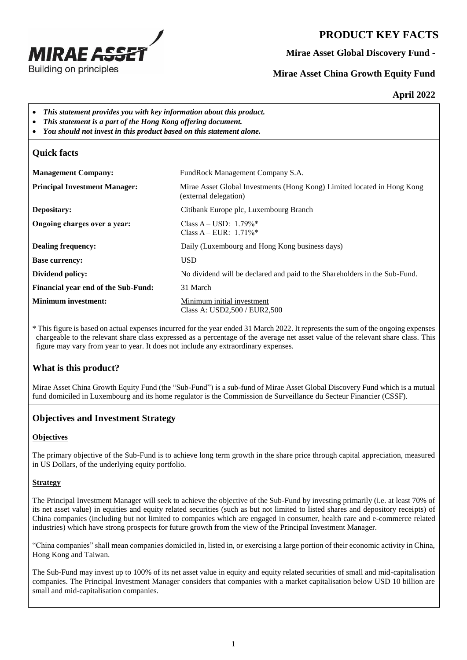

# **PRODUCT KEY FACTS**

**Mirae Asset Global Discovery Fund -**

## **Mirae Asset China Growth Equity Fund**

**April 2022**

- *This statement provides you with key information about this product.*
- *This statement is a part of the Hong Kong offering document.*
- *You should not invest in this product based on this statement alone.*

| <b>Quick facts</b>                   |                                                                                                  |  |
|--------------------------------------|--------------------------------------------------------------------------------------------------|--|
| <b>Management Company:</b>           | FundRock Management Company S.A.                                                                 |  |
| <b>Principal Investment Manager:</b> | Mirae Asset Global Investments (Hong Kong) Limited located in Hong Kong<br>(external delegation) |  |
| Depositary:                          | Citibank Europe plc, Luxembourg Branch                                                           |  |
| Ongoing charges over a year:         | Class A – USD: $1.79\%*$<br>Class $A - EUR: 1.71\%$ *                                            |  |
| <b>Dealing frequency:</b>            | Daily (Luxembourg and Hong Kong business days)                                                   |  |
| <b>Base currency:</b>                | <b>USD</b>                                                                                       |  |
| Dividend policy:                     | No dividend will be declared and paid to the Shareholders in the Sub-Fund.                       |  |
| Financial year end of the Sub-Fund:  | 31 March                                                                                         |  |
| <b>Minimum investment:</b>           | Minimum initial investment<br>Class A: USD2,500 / EUR2,500                                       |  |

\* This figure is based on actual expenses incurred for the year ended 31 March 2022. It represents the sum of the ongoing expenses chargeable to the relevant share class expressed as a percentage of the average net asset value of the relevant share class. This figure may vary from year to year. It does not include any extraordinary expenses.

# **What is this product?**

Mirae Asset China Growth Equity Fund (the "Sub-Fund") is a sub-fund of Mirae Asset Global Discovery Fund which is a mutual fund domiciled in Luxembourg and its home regulator is the Commission de Surveillance du Secteur Financier (CSSF).

# **Objectives and Investment Strategy**

## **Objectives**

The primary objective of the Sub-Fund is to achieve long term growth in the share price through capital appreciation, measured in US Dollars, of the underlying equity portfolio.

### **Strategy**

The Principal Investment Manager will seek to achieve the objective of the Sub-Fund by investing primarily (i.e. at least 70% of its net asset value) in equities and equity related securities (such as but not limited to listed shares and depository receipts) of China companies (including but not limited to companies which are engaged in consumer, health care and e-commerce related industries) which have strong prospects for future growth from the view of the Principal Investment Manager.

"China companies" shall mean companies domiciled in, listed in, or exercising a large portion of their economic activity in China, Hong Kong and Taiwan.

The Sub-Fund may invest up to 100% of its net asset value in equity and equity related securities of small and mid-capitalisation companies. The Principal Investment Manager considers that companies with a market capitalisation below USD 10 billion are small and mid-capitalisation companies.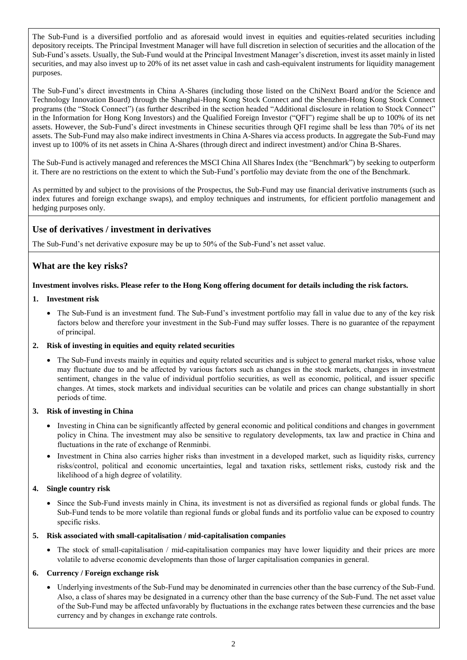The Sub-Fund is a diversified portfolio and as aforesaid would invest in equities and equities-related securities including depository receipts. The Principal Investment Manager will have full discretion in selection of securities and the allocation of the Sub-Fund's assets. Usually, the Sub-Fund would at the Principal Investment Manager's discretion, invest its asset mainly in listed securities, and may also invest up to 20% of its net asset value in cash and cash-equivalent instruments for liquidity management purposes.

The Sub-Fund's direct investments in China A-Shares (including those listed on the ChiNext Board and/or the Science and Technology Innovation Board) through the Shanghai-Hong Kong Stock Connect and the Shenzhen-Hong Kong Stock Connect programs (the "Stock Connect") (as further described in the section headed "Additional disclosure in relation to Stock Connect" in the Information for Hong Kong Investors) and the Qualified Foreign Investor ("QFI") regime shall be up to 100% of its net assets. However, the Sub-Fund's direct investments in Chinese securities through QFI regime shall be less than 70% of its net assets. The Sub-Fund may also make indirect investments in China A-Shares via access products. In aggregate the Sub-Fund may invest up to 100% of its net assets in China A-Shares (through direct and indirect investment) and/or China B-Shares.

The Sub-Fund is actively managed and references the MSCI China All Shares Index (the "Benchmark") by seeking to outperform it. There are no restrictions on the extent to which the Sub-Fund's portfolio may deviate from the one of the Benchmark.

As permitted by and subject to the provisions of the Prospectus, the Sub-Fund may use financial derivative instruments (such as index futures and foreign exchange swaps), and employ techniques and instruments, for efficient portfolio management and hedging purposes only.

## **Use of derivatives / investment in derivatives**

The Sub-Fund's net derivative exposure may be up to 50% of the Sub-Fund's net asset value.

## **What are the key risks?**

#### **Investment involves risks. Please refer to the Hong Kong offering document for details including the risk factors.**

#### **1. Investment risk**

• The Sub-Fund is an investment fund. The Sub-Fund's investment portfolio may fall in value due to any of the key risk factors below and therefore your investment in the Sub-Fund may suffer losses. There is no guarantee of the repayment of principal.

#### **2. Risk of investing in equities and equity related securities**

• The Sub-Fund invests mainly in equities and equity related securities and is subject to general market risks, whose value may fluctuate due to and be affected by various factors such as changes in the stock markets, changes in investment sentiment, changes in the value of individual portfolio securities, as well as economic, political, and issuer specific changes. At times, stock markets and individual securities can be volatile and prices can change substantially in short periods of time.

#### **3. Risk of investing in China**

- Investing in China can be significantly affected by general economic and political conditions and changes in government policy in China. The investment may also be sensitive to regulatory developments, tax law and practice in China and fluctuations in the rate of exchange of Renminbi.
- Investment in China also carries higher risks than investment in a developed market, such as liquidity risks, currency risks/control, political and economic uncertainties, legal and taxation risks, settlement risks, custody risk and the likelihood of a high degree of volatility.

### **4. Single country risk**

• Since the Sub-Fund invests mainly in China, its investment is not as diversified as regional funds or global funds. The Sub-Fund tends to be more volatile than regional funds or global funds and its portfolio value can be exposed to country specific risks.

#### **5. Risk associated with small-capitalisation / mid-capitalisation companies**

• The stock of small-capitalisation / mid-capitalisation companies may have lower liquidity and their prices are more volatile to adverse economic developments than those of larger capitalisation companies in general.

### **6. Currency / Foreign exchange risk**

• Underlying investments of the Sub-Fund may be denominated in currencies other than the base currency of the Sub-Fund. Also, a class of shares may be designated in a currency other than the base currency of the Sub-Fund. The net asset value of the Sub-Fund may be affected unfavorably by fluctuations in the exchange rates between these currencies and the base currency and by changes in exchange rate controls.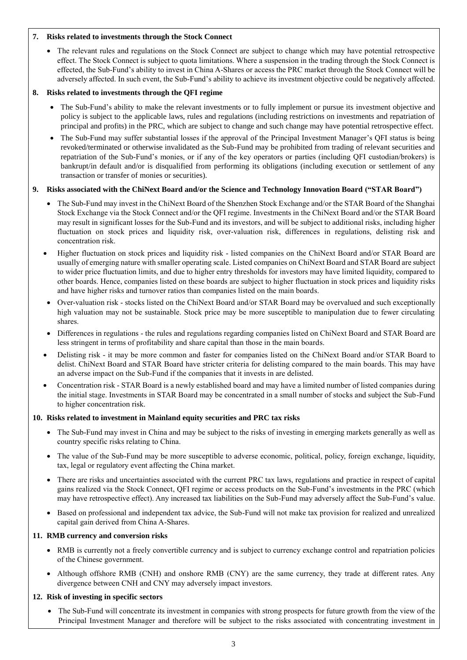#### **7. Risks related to investments through the Stock Connect**

• The relevant rules and regulations on the Stock Connect are subject to change which may have potential retrospective effect. The Stock Connect is subject to quota limitations. Where a suspension in the trading through the Stock Connect is effected, the Sub-Fund's ability to invest in China A-Shares or access the PRC market through the Stock Connect will be adversely affected. In such event, the Sub-Fund's ability to achieve its investment objective could be negatively affected.

#### **8. Risks related to investments through the QFI regime**

- The Sub-Fund's ability to make the relevant investments or to fully implement or pursue its investment objective and policy is subject to the applicable laws, rules and regulations (including restrictions on investments and repatriation of principal and profits) in the PRC, which are subject to change and such change may have potential retrospective effect.
- The Sub-Fund may suffer substantial losses if the approval of the Principal Investment Manager's QFI status is being revoked/terminated or otherwise invalidated as the Sub-Fund may be prohibited from trading of relevant securities and repatriation of the Sub-Fund's monies, or if any of the key operators or parties (including QFI custodian/brokers) is bankrupt/in default and/or is disqualified from performing its obligations (including execution or settlement of any transaction or transfer of monies or securities).

#### **9. Risks associated with the ChiNext Board and/or the Science and Technology Innovation Board ("STAR Board")**

- The Sub-Fund may invest in the ChiNext Board of the Shenzhen Stock Exchange and/or the STAR Board of the Shanghai Stock Exchange via the Stock Connect and/or the QFI regime. Investments in the ChiNext Board and/or the STAR Board may result in significant losses for the Sub-Fund and its investors, and will be subject to additional risks, including higher fluctuation on stock prices and liquidity risk, over-valuation risk, differences in regulations, delisting risk and concentration risk.
- Higher fluctuation on stock prices and liquidity risk listed companies on the ChiNext Board and/or STAR Board are usually of emerging nature with smaller operating scale. Listed companies on ChiNext Board and STAR Board are subject to wider price fluctuation limits, and due to higher entry thresholds for investors may have limited liquidity, compared to other boards. Hence, companies listed on these boards are subject to higher fluctuation in stock prices and liquidity risks and have higher risks and turnover ratios than companies listed on the main boards.
- Over-valuation risk stocks listed on the ChiNext Board and/or STAR Board may be overvalued and such exceptionally high valuation may not be sustainable. Stock price may be more susceptible to manipulation due to fewer circulating shares.
- Differences in regulations the rules and regulations regarding companies listed on ChiNext Board and STAR Board are less stringent in terms of profitability and share capital than those in the main boards.
- Delisting risk it may be more common and faster for companies listed on the ChiNext Board and/or STAR Board to delist. ChiNext Board and STAR Board have stricter criteria for delisting compared to the main boards. This may have an adverse impact on the Sub-Fund if the companies that it invests in are delisted.
- Concentration risk STAR Board is a newly established board and may have a limited number of listed companies during the initial stage. Investments in STAR Board may be concentrated in a small number of stocks and subject the Sub-Fund to higher concentration risk.

### **10. Risks related to investment in Mainland equity securities and PRC tax risks**

- The Sub-Fund may invest in China and may be subject to the risks of investing in emerging markets generally as well as country specific risks relating to China.
- The value of the Sub-Fund may be more susceptible to adverse economic, political, policy, foreign exchange, liquidity, tax, legal or regulatory event affecting the China market.
- There are risks and uncertainties associated with the current PRC tax laws, regulations and practice in respect of capital gains realized via the Stock Connect, QFI regime or access products on the Sub-Fund's investments in the PRC (which may have retrospective effect). Any increased tax liabilities on the Sub-Fund may adversely affect the Sub-Fund's value.
- Based on professional and independent tax advice, the Sub-Fund will not make tax provision for realized and unrealized capital gain derived from China A-Shares.

#### **11. RMB currency and conversion risks**

- RMB is currently not a freely convertible currency and is subject to currency exchange control and repatriation policies of the Chinese government.
- Although offshore RMB (CNH) and onshore RMB (CNY) are the same currency, they trade at different rates. Any divergence between CNH and CNY may adversely impact investors.

#### **12. Risk of investing in specific sectors**

• The Sub-Fund will concentrate its investment in companies with strong prospects for future growth from the view of the Principal Investment Manager and therefore will be subject to the risks associated with concentrating investment in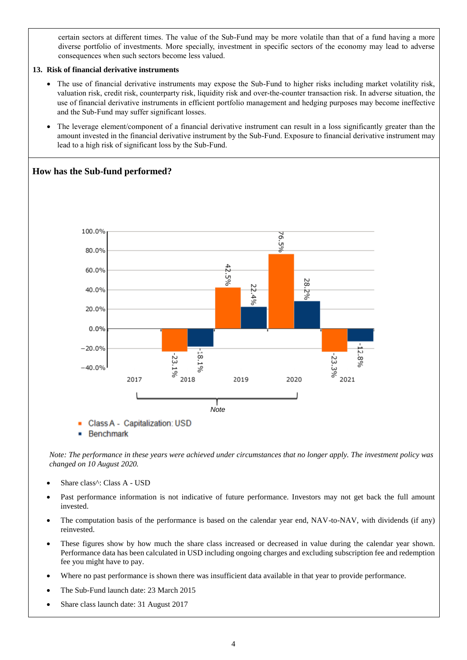certain sectors at different times. The value of the Sub-Fund may be more volatile than that of a fund having a more diverse portfolio of investments. More specially, investment in specific sectors of the economy may lead to adverse consequences when such sectors become less valued.

#### **13. Risk of financial derivative instruments**

- The use of financial derivative instruments may expose the Sub-Fund to higher risks including market volatility risk, valuation risk, credit risk, counterparty risk, liquidity risk and over-the-counter transaction risk. In adverse situation, the use of financial derivative instruments in efficient portfolio management and hedging purposes may become ineffective and the Sub-Fund may suffer significant losses.
- The leverage element/component of a financial derivative instrument can result in a loss significantly greater than the amount invested in the financial derivative instrument by the Sub-Fund. Exposure to financial derivative instrument may lead to a high risk of significant loss by the Sub-Fund.

## **How has the Sub-fund performed?**



- Class A Capitalization: USD
- **Benchmark**

*Note: The performance in these years were achieved under circumstances that no longer apply. The investment policy was changed on 10 August 2020.*

- Share class^: Class A USD
- Past performance information is not indicative of future performance. Investors may not get back the full amount invested.
- The computation basis of the performance is based on the calendar year end, NAV-to-NAV, with dividends (if any) reinvested.
- These figures show by how much the share class increased or decreased in value during the calendar year shown. Performance data has been calculated in USD including ongoing charges and excluding subscription fee and redemption fee you might have to pay.
- Where no past performance is shown there was insufficient data available in that year to provide performance.
- The Sub-Fund launch date: 23 March 2015
- Share class launch date: 31 August 2017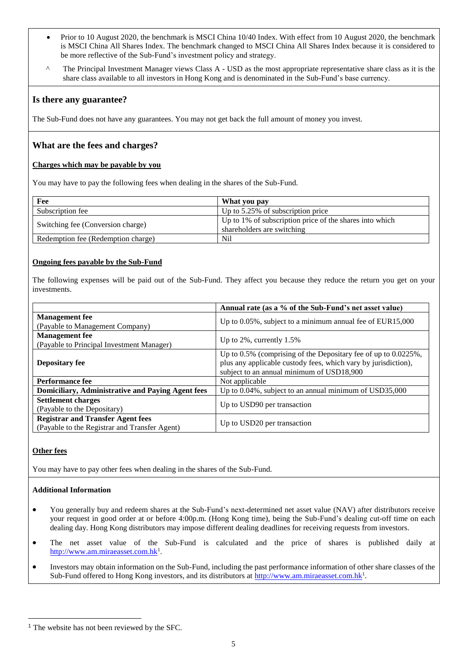- Prior to 10 August 2020, the benchmark is MSCI China 10/40 Index. With effect from 10 August 2020, the benchmark is MSCI China All Shares Index. The benchmark changed to MSCI China All Shares Index because it is considered to be more reflective of the Sub-Fund's investment policy and strategy.
- The Principal Investment Manager views Class A USD as the most appropriate representative share class as it is the share class available to all investors in Hong Kong and is denominated in the Sub-Fund's base currency.

# **Is there any guarantee?**

The Sub-Fund does not have any guarantees. You may not get back the full amount of money you invest.

# **What are the fees and charges?**

#### **Charges which may be payable by you**

You may have to pay the following fees when dealing in the shares of the Sub-Fund.

| Fee                                | What you pay                                                                          |
|------------------------------------|---------------------------------------------------------------------------------------|
| Subscription fee                   | Up to $5.25\%$ of subscription price                                                  |
| Switching fee (Conversion charge)  | Up to 1% of subscription price of the shares into which<br>shareholders are switching |
| Redemption fee (Redemption charge) | Nil                                                                                   |

### **Ongoing fees payable by the Sub-Fund**

The following expenses will be paid out of the Sub-Fund. They affect you because they reduce the return you get on your investments.

|                                                                                           | Annual rate (as a % of the Sub-Fund's net asset value)                                                                                                                               |
|-------------------------------------------------------------------------------------------|--------------------------------------------------------------------------------------------------------------------------------------------------------------------------------------|
| <b>Management</b> fee<br>(Payable to Management Company)                                  | Up to $0.05\%$ , subject to a minimum annual fee of EUR15,000                                                                                                                        |
| <b>Management</b> fee<br>(Payable to Principal Investment Manager)                        | Up to $2\%$ , currently $1.5\%$                                                                                                                                                      |
| <b>Depositary fee</b>                                                                     | Up to $0.5\%$ (comprising of the Depositary fee of up to $0.0225\%$ ,<br>plus any applicable custody fees, which vary by jurisdiction),<br>subject to an annual minimum of USD18,900 |
| Performance fee                                                                           | Not applicable                                                                                                                                                                       |
| <b>Domiciliary, Administrative and Paying Agent fees</b>                                  | Up to 0.04%, subject to an annual minimum of USD35,000                                                                                                                               |
| <b>Settlement charges</b><br>(Payable to the Depositary)                                  | Up to USD90 per transaction                                                                                                                                                          |
| <b>Registrar and Transfer Agent fees</b><br>(Payable to the Registrar and Transfer Agent) | Up to USD20 per transaction                                                                                                                                                          |

### **Other fees**

1

You may have to pay other fees when dealing in the shares of the Sub-Fund.

#### **Additional Information**

- You generally buy and redeem shares at the Sub-Fund's next-determined net asset value (NAV) after distributors receive your request in good order at or before 4:00p.m. (Hong Kong time), being the Sub-Fund's dealing cut-off time on each dealing day. Hong Kong distributors may impose different dealing deadlines for receiving requests from investors.
- The net asset value of the Sub-Fund is calculated and the price of shares is published daily at [http://www.am.miraeasset.com.hk](http://www.am.miraeasset.com.hk/)<sup>1</sup>.
- Investors may obtain information on the Sub-Fund, including the past performance information of other share classes of the Sub-Fund offered to Hong Kong investors, and its distributors a[t http://www.am.miraeasset.com.hk](http://www.am.miraeasset.com.hk/)<sup>1</sup>.

<sup>&</sup>lt;sup>1</sup> The website has not been reviewed by the SFC.